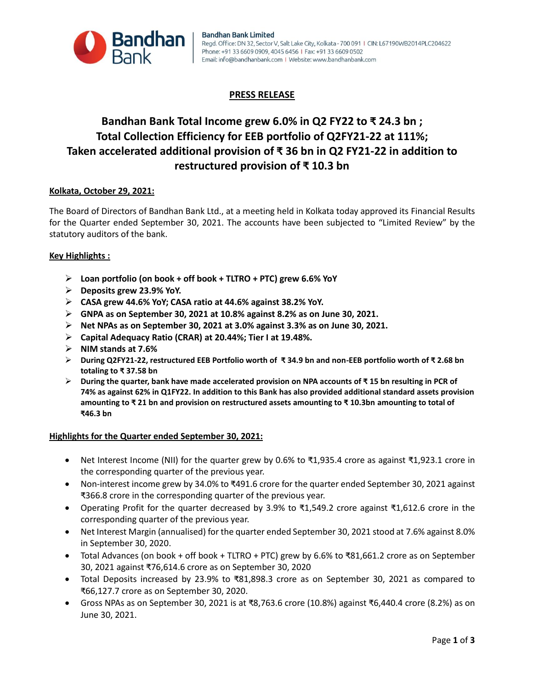

# **PRESS RELEASE**

# **Bandhan Bank Total Income grew 6.0% in Q2 FY22 to ₹ 24.3 bn ; Total Collection Efficiency for EEB portfolio of Q2FY21-22 at 111%; Taken accelerated additional provision of ₹ 36 bn in Q2 FY21-22 in addition to restructured provision of ₹ 10.3 bn**

### **Kolkata, October 29, 2021:**

The Board of Directors of Bandhan Bank Ltd., at a meeting held in Kolkata today approved its Financial Results for the Quarter ended September 30, 2021. The accounts have been subjected to "Limited Review" by the statutory auditors of the bank.

### **Key Highlights :**

- **Loan portfolio (on book + off book + TLTRO + PTC) grew 6.6% YoY**
- **Deposits grew 23.9% YoY.**
- **CASA grew 44.6% YoY; CASA ratio at 44.6% against 38.2% YoY.**
- **GNPA as on September 30, 2021 at 10.8% against 8.2% as on June 30, 2021.**
- **Net NPAs as on September 30, 2021 at 3.0% against 3.3% as on June 30, 2021.**
- **Capital Adequacy Ratio (CRAR) at 20.44%; Tier I at 19.48%.**
- **NIM stands at 7.6%**
- **During Q2FY21-22, restructured EEB Portfolio worth of ₹ 34.9 bn and non-EEB portfolio worth of ₹ 2.68 bn totaling to ₹ 37.58 bn**
- **During the quarter, bank have made accelerated provision on NPA accounts of ₹ 15 bn resulting in PCR of 74% as against 62% in Q1FY22. In addition to this Bank has also provided additional standard assets provision amounting to ₹ 21 bn and provision on restructured assets amounting to ₹ 10.3bn amounting to total of ₹46.3 bn**

### **Highlights for the Quarter ended September 30, 2021:**

- Net Interest Income (NII) for the quarter grew by 0.6% to ₹1,935.4 crore as against ₹1,923.1 crore in the corresponding quarter of the previous year.
- Non-interest income grew by 34.0% to ₹491.6 crore for the quarter ended September 30, 2021 against ₹366.8 crore in the corresponding quarter of the previous year.
- Operating Profit for the quarter decreased by 3.9% to ₹1,549.2 crore against ₹1,612.6 crore in the corresponding quarter of the previous year.
- Net Interest Margin (annualised) for the quarter ended September 30, 2021 stood at 7.6% against 8.0% in September 30, 2020.
- Total Advances (on book + off book + TLTRO + PTC) grew by 6.6% to ₹81,661.2 crore as on September 30, 2021 against ₹76,614.6 crore as on September 30, 2020
- Total Deposits increased by 23.9% to ₹81,898.3 crore as on September 30, 2021 as compared to ₹66,127.7 crore as on September 30, 2020.
- Gross NPAs as on September 30, 2021 is at ₹8,763.6 crore (10.8%) against ₹6,440.4 crore (8.2%) as on June 30, 2021.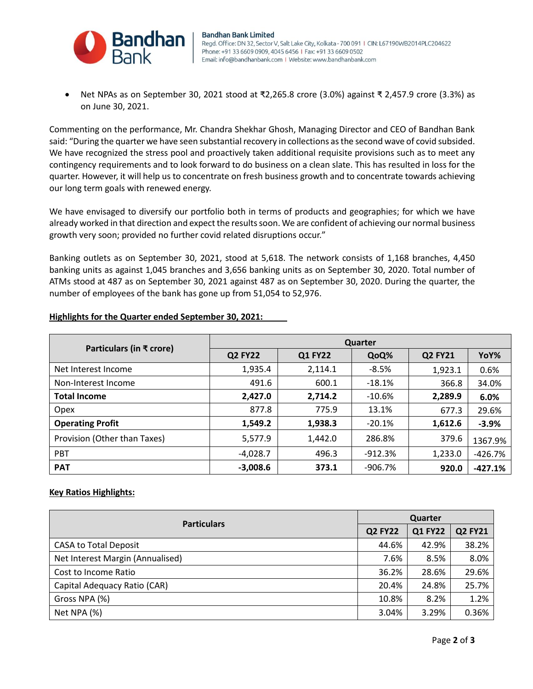

 Net NPAs as on September 30, 2021 stood at ₹2,265.8 crore (3.0%) against ₹ 2,457.9 crore (3.3%) as on June 30, 2021.

Commenting on the performance, Mr. Chandra Shekhar Ghosh, Managing Director and CEO of Bandhan Bank said: "During the quarter we have seen substantial recovery in collections as the second wave of covid subsided. We have recognized the stress pool and proactively taken additional requisite provisions such as to meet any contingency requirements and to look forward to do business on a clean slate. This has resulted in loss for the quarter. However, it will help us to concentrate on fresh business growth and to concentrate towards achieving our long term goals with renewed energy.

We have envisaged to diversify our portfolio both in terms of products and geographies; for which we have already worked in that direction and expect the results soon. We are confident of achieving our normal business growth very soon; provided no further covid related disruptions occur."

Banking outlets as on September 30, 2021, stood at 5,618. The network consists of 1,168 branches, 4,450 banking units as against 1,045 branches and 3,656 banking units as on September 30, 2020. Total number of ATMs stood at 487 as on September 30, 2021 against 487 as on September 30, 2020. During the quarter, the number of employees of the bank has gone up from 51,054 to 52,976.

| Particulars (in ₹ crore)     | <b>Quarter</b> |                |            |                |           |  |
|------------------------------|----------------|----------------|------------|----------------|-----------|--|
|                              | <b>Q2 FY22</b> | <b>Q1 FY22</b> | QoQ%       | <b>Q2 FY21</b> | YoY%      |  |
| Net Interest Income          | 1,935.4        | 2,114.1        | $-8.5%$    | 1,923.1        | 0.6%      |  |
| Non-Interest Income          | 491.6          | 600.1          | $-18.1%$   | 366.8          | 34.0%     |  |
| <b>Total Income</b>          | 2,427.0        | 2,714.2        | $-10.6\%$  | 2,289.9        | 6.0%      |  |
| Opex                         | 877.8          | 775.9          | 13.1%      | 677.3          | 29.6%     |  |
| <b>Operating Profit</b>      | 1,549.2        | 1,938.3        | $-20.1\%$  | 1,612.6        | $-3.9%$   |  |
| Provision (Other than Taxes) | 5,577.9        | 1,442.0        | 286.8%     | 379.6          | 1367.9%   |  |
| <b>PBT</b>                   | $-4,028.7$     | 496.3          | $-912.3%$  | 1,233.0        | $-426.7%$ |  |
| <b>PAT</b>                   | $-3,008.6$     | 373.1          | $-906.7\%$ | 920.0          | $-427.1%$ |  |

## **Highlights for the Quarter ended September 30, 2021:**

## **Key Ratios Highlights:**

| <b>Particulars</b>               |       | Quarter        |                |  |  |
|----------------------------------|-------|----------------|----------------|--|--|
|                                  |       | <b>Q1 FY22</b> | <b>Q2 FY21</b> |  |  |
| <b>CASA to Total Deposit</b>     | 44.6% | 42.9%          | 38.2%          |  |  |
| Net Interest Margin (Annualised) | 7.6%  | 8.5%           | 8.0%           |  |  |
| Cost to Income Ratio             | 36.2% | 28.6%          | 29.6%          |  |  |
| Capital Adequacy Ratio (CAR)     | 20.4% | 24.8%          | 25.7%          |  |  |
| Gross NPA (%)                    | 10.8% | 8.2%           | 1.2%           |  |  |
| Net NPA (%)                      | 3.04% | 3.29%          | 0.36%          |  |  |